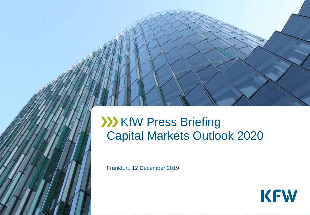## **XXX KfW Press Briefing** Capital Markets Outlook 2020

Frankfurt, 12 December 2019

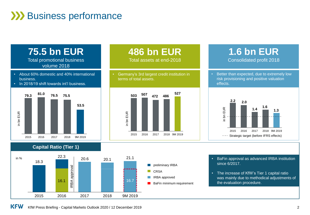## **XXX** Business performance



# **486 bn EUR**

Total assets at end-2018

• Germany's 3rd largest credit institution in terms of total assets.



### **1.6 bn EUR** Consolidated profit 2018

• Better than expected, due to extremely low risk provisioning and positive valuation effects.





- BaFin approval as advanced IRBA institution since 6/2017.
- The increase of KfW's Tier 1 capital ratio was mainly due to methodical adjustments of the evaluation procedure.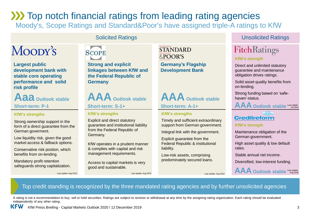## **XX** Top notch financial ratings from leading rating agencies

Moody's, Scope Ratings and Standard&Poor's have assigned triple-A ratings to KfW

## Moopy's

**Largest public development bank with stable core operating performance and solid risk profile**

**Aaa Outlook stable**

#### **KfW's strengths**

Strong ownership support in the form of a direct guarantee from the German goverment.

Low liquidity risk, given the good market access & fallback options.

Conservative risk postion, which benefits from on-lending.

Mandatory profit retention safeguards strong capitalization.



**Strong and explicit linkages between KfW and the Federal Republic of Germany**

**AAA Outlook stable Short-term: S-1+**

#### **KfW's strengths**

Explicit and direct statutory guarantee and institutional liability from the Federal Republic of Germany.

KfW operates in a prudent manner & complies with capital and risk management requirements.

Access to capital markets is very good and sustainable.

**STANDARD** &POOR'S

**Germany's Flagship Development Bank**



#### **KfW's strengths**

Timely and sufficient extraordinary support from German government.

Integral link with the government.

Explicit guarantee from the Federal Republic & institutional liability.

Low-risk assets, comprising predominately secured loans.

### **Solicited Ratings Contact Contact Contact Contact Contact Contact Contact Contact Contact Contact Contact Contact Contact Contact Contact Contact Contact Contact Contact Contact Contact Contact Contact Contact Contact Con**

### **FitchRatings**

#### **KfW's strength**

Direct and unlimited statutory guarantee and maintenance obligation drives ratings.

Solid asset quality benefits from on-lending.

Strong funding based on 'safehaven'-status.

### **Creditreform**

**KfW's strength**

Maintenance obligation of the German government.

High asset quality & low default rates.

Stable annual net income.

Diversified, low-interest funding.

**AAA Outlook stable** Last update: Aug 2018

Top credit standing is recognized by the three mandated rating agencies and by further unsolicited agencies

A rating is not a recommendation to buy, sell or hold securities. Ratings are subject to revision or withdrawal at any time by the assigning rating organization. Each rating should be evaluated independently of any other rating.

Last update: Aug 2019 Last update: Aug 2019 Last update: Aug 2019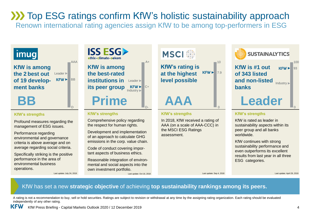## **XX Top ESG ratings confirm KfW's holistic sustainability approach**

Renown international rating agencies assign KfW to be among top-performers in ESG

## | imug|

**KfW is among the 2 best out of 19 development banks Leader** 

#### **KfW's strengths**

Profound measures regarding the management of ESG issues.

Performance regarding environmental and governance criteria is above average and on average regarding social criteria.

Specifically striking is the positive performance in the area of environmental business operations.

AAA

D

KFW<sup>B</sup>



#### **KfW's strengths**

Comprehensive policy regarding the respect for human rights.

Development and implementation of an approach to calculate GHG emissions in the corp. value chain.

Code of conduct covering important aspects of business ethics.

Reasonable integration of environmental and social aspects into the own investment portfolio.

Last update: July 24, 2019 Last update: Oct 16, 2018 Last update: Sep 4, 2018 Last update: April 29, 2019



0

#### **KfW's strengths**

**AAA**

In 2018, KfW received a rating of AAA (on a scale of AAA-CCC) in the MSCI ESG Ratings assessment.



#### **KfW's strengths**

KfW is rated as leader in sustainability aspects within its peer group and all banks worldwide.

KfW continues with strong sustainability performance and even outperforms its excellent results from last year in all three ESG categories.

### KfW has set a new **strategic objective** of achieving **top sustainability rankings among its peers.**

A rating is not a recommendation to buy, sell or hold securities. Ratings are subject to revision or withdrawal at any time by the assigning rating organization. Each rating should be evaluated independently of any other rating.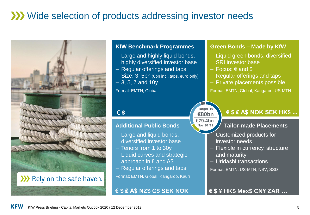## Wide selection of products addressing investor needs



### >>>>> Rely on the safe haven.

### **KfW Benchmark Programmes**

- Large and highly liquid bonds, highly diversified investor base
- Regular offerings and taps
- Size: 3-5bn (6bn incl. taps, euro only)
- $-3, 5, 7$  and 10y

Format: EMTN, Global

### **€ \$**

### **Additional Public Bonds**

- Large and liquid bonds, diversified investor base
- Tenors from 1 to 30y
- Liquid curves and strategic approach in ₤ and A\$
- Regular offerings and taps

Format: EMTN, Global, Kangaroo, Kauri

**€ \$ ₤ A\$ NZ\$ C\$ SEK NOK**

### **Green Bonds – Made by KfW**

- $-$  Liquid green bonds, diversified SRI investor base
- $-$  Focus:  $\epsilon$  and \$
- Regular offerings and taps
- Private placements possible

Format: EMTN, Global, Kangaroo, US-MTN



### **€ \$ ₤ A\$ NOK SEK HK\$ ...**

### **Tailor-made Placements**

- Customized products for investor needs
- Flexible in currency, structure and maturity
- Uridashi transactions

Format: EMTN, US-MTN, NSV, SSD

**€ \$ ¥ HK\$ Mex\$ CN¥ ZAR …**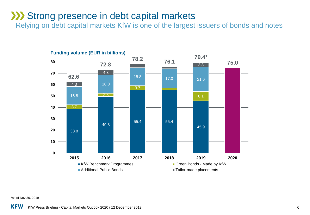### **XXX** Strong presence in debt capital markets

Relying on debt capital markets KfW is one of the largest issuers of bonds and notes



\*as of Nov 30, 2019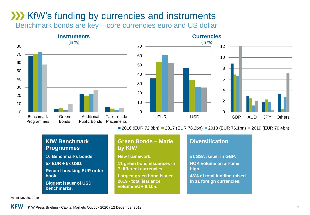## **XXX** KfW's funding by currencies and instruments

Benchmark bonds are key – core currencies euro and US dollar





■ 2016 (EUR 72.8bn) ■ 2017 (EUR 78.2bn) ■ 2018 (EUR 76.1bn) ■ 2019 (EUR 79.4bn)\*

**48% of total funding raised**

| <b>KfW Benchmark</b><br><b>Programmes</b>            | <b>Green Bonds - Made</b><br>by KfW                                            | <b>Diversification</b>                                 |
|------------------------------------------------------|--------------------------------------------------------------------------------|--------------------------------------------------------|
| <b>10 Benchmarks bonds.</b>                          | <b>New framework.</b>                                                          | #1 SSA issuer in GBP.                                  |
| 5x EUR + 5x USD.<br><b>Record-breaking EUR order</b> | 11 green bond issuances in<br>7 different currencies.                          | <b>NOK volume on all-time</b><br>high.                 |
| book.<br><b>Biggest issuer of USD</b><br>benchmarks. | <b>Largest green bond issuer</b><br>2019 - total issuance<br>volume EUR 8.1bn. | 48% of total funding rais<br>in 11 foreign currencies. |

\*as of Nov 30, 2019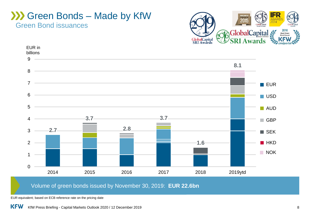### Green Bond issuances Green Bonds – Made by KfW





Volume of green bonds issued by November 30, 2019: **EUR 22.6bn**

EUR equivalent; based on ECB reference rate on the pricing date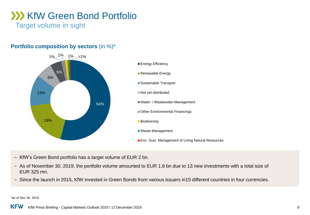## **XX KfW Green Bond Portfolio**

Target volume in sight

### **Portfolio composition by sectors** (in %)\*



- KfW's Green Bond portfolio has a target volume of EUR 2 bn.
- As of November 30, 2019, the portfolio volume amounted to EUR 1.6 bn due to 13 new investments with a total size of EUR 325 mn.
- Since the launch in 2015, KfW invested in Green Bonds from various issuers in 15 different countries in four currencies.

\*as of Nov 30, 2019